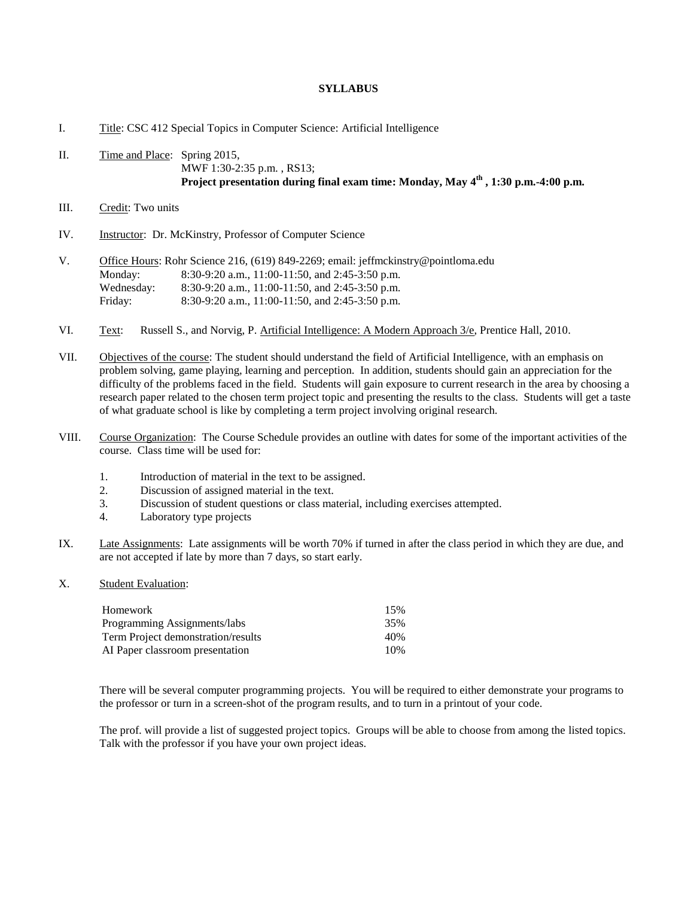## **SYLLABUS**

## I. Title: CSC 412 Special Topics in Computer Science: Artificial Intelligence

- II. Time and Place: Spring 2015, MWF 1:30-2:35 p.m. , RS13; **Project presentation during final exam time: Monday, May 4 th , 1:30 p.m.-4:00 p.m.**
- III. Credit: Two units
- IV. Instructor: Dr. McKinstry, Professor of Computer Science
- V. Office Hours: Rohr Science 216, (619) 849-2269; email: jeffmckinstry@pointloma.edu Monday: 8:30-9:20 a.m., 11:00-11:50, and 2:45-3:50 p.m. Wednesday: 8:30-9:20 a.m., 11:00-11:50, and 2:45-3:50 p.m. Friday: 8:30-9:20 a.m., 11:00-11:50, and 2:45-3:50 p.m.
- VI. Text: Russell S., and Norvig, P. Artificial Intelligence: A Modern Approach  $3/e$ , Prentice Hall, 2010.
- VII. Objectives of the course: The student should understand the field of Artificial Intelligence, with an emphasis on problem solving, game playing, learning and perception. In addition, students should gain an appreciation for the difficulty of the problems faced in the field. Students will gain exposure to current research in the area by choosing a research paper related to the chosen term project topic and presenting the results to the class. Students will get a taste of what graduate school is like by completing a term project involving original research.
- VIII. Course Organization: The Course Schedule provides an outline with dates for some of the important activities of the course. Class time will be used for:
	- 1. Introduction of material in the text to be assigned.
	- 2. Discussion of assigned material in the text.
	- 3. Discussion of student questions or class material, including exercises attempted.
	- 4. Laboratory type projects
- IX. Late Assignments: Late assignments will be worth 70% if turned in after the class period in which they are due, and are not accepted if late by more than 7 days, so start early.
- X. Student Evaluation:

| Homework                           | 15% |
|------------------------------------|-----|
| Programming Assignments/labs       | 35% |
| Term Project demonstration/results | 40% |
| AI Paper classroom presentation    | 10% |

There will be several computer programming projects. You will be required to either demonstrate your programs to the professor or turn in a screen-shot of the program results, and to turn in a printout of your code.

The prof. will provide a list of suggested project topics. Groups will be able to choose from among the listed topics. Talk with the professor if you have your own project ideas.